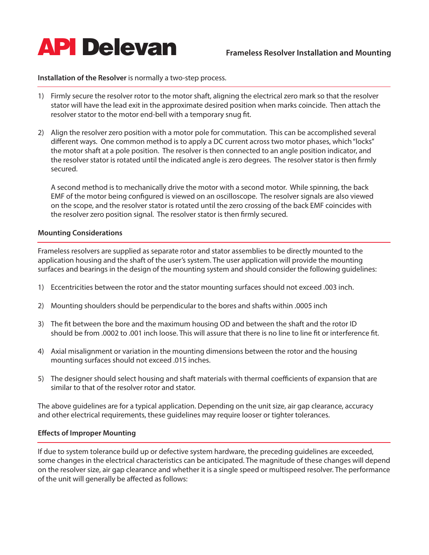

# **Installation of the Resolver** is normally a two-step process.

- 1) Firmly secure the resolver rotor to the motor shaft, aligning the electrical zero mark so that the resolver stator will have the lead exit in the approximate desired position when marks coincide. Then attach the resolver stator to the motor end-bell with a temporary snug fit.
- 2) Align the resolver zero position with a motor pole for commutation. This can be accomplished several different ways. One common method is to apply a DC current across two motor phases, which "locks" the motor shaft at a pole position. The resolver is then connected to an angle position indicator, and the resolver stator is rotated until the indicated angle is zero degrees. The resolver stator is then firmly secured.

 A second method is to mechanically drive the motor with a second motor. While spinning, the back EMF of the motor being configured is viewed on an oscilloscope. The resolver signals are also viewed on the scope, and the resolver stator is rotated until the zero crossing of the back EMF coincides with the resolver zero position signal. The resolver stator is then firmly secured.

## **Mounting Considerations**

Frameless resolvers are supplied as separate rotor and stator assemblies to be directly mounted to the application housing and the shaft of the user's system. The user application will provide the mounting surfaces and bearings in the design of the mounting system and should consider the following guidelines:

- 1) Eccentricities between the rotor and the stator mounting surfaces should not exceed .003 inch.
- 2) Mounting shoulders should be perpendicular to the bores and shafts within .0005 inch
- 3) The fit between the bore and the maximum housing OD and between the shaft and the rotor ID should be from .0002 to .001 inch loose. This will assure that there is no line to line fit or interference fit.
- 4) Axial misalignment or variation in the mounting dimensions between the rotor and the housing mounting surfaces should not exceed .015 inches.
- 5) The designer should select housing and shaft materials with thermal coefficients of expansion that are similar to that of the resolver rotor and stator.

The above guidelines are for a typical application. Depending on the unit size, air gap clearance, accuracy and other electrical requirements, these guidelines may require looser or tighter tolerances.

### **Effects of Improper Mounting**

If due to system tolerance build up or defective system hardware, the preceding guidelines are exceeded, some changes in the electrical characteristics can be anticipated. The magnitude of these changes will depend on the resolver size, air gap clearance and whether it is a single speed or multispeed resolver. The performance of the unit will generally be affected as follows: